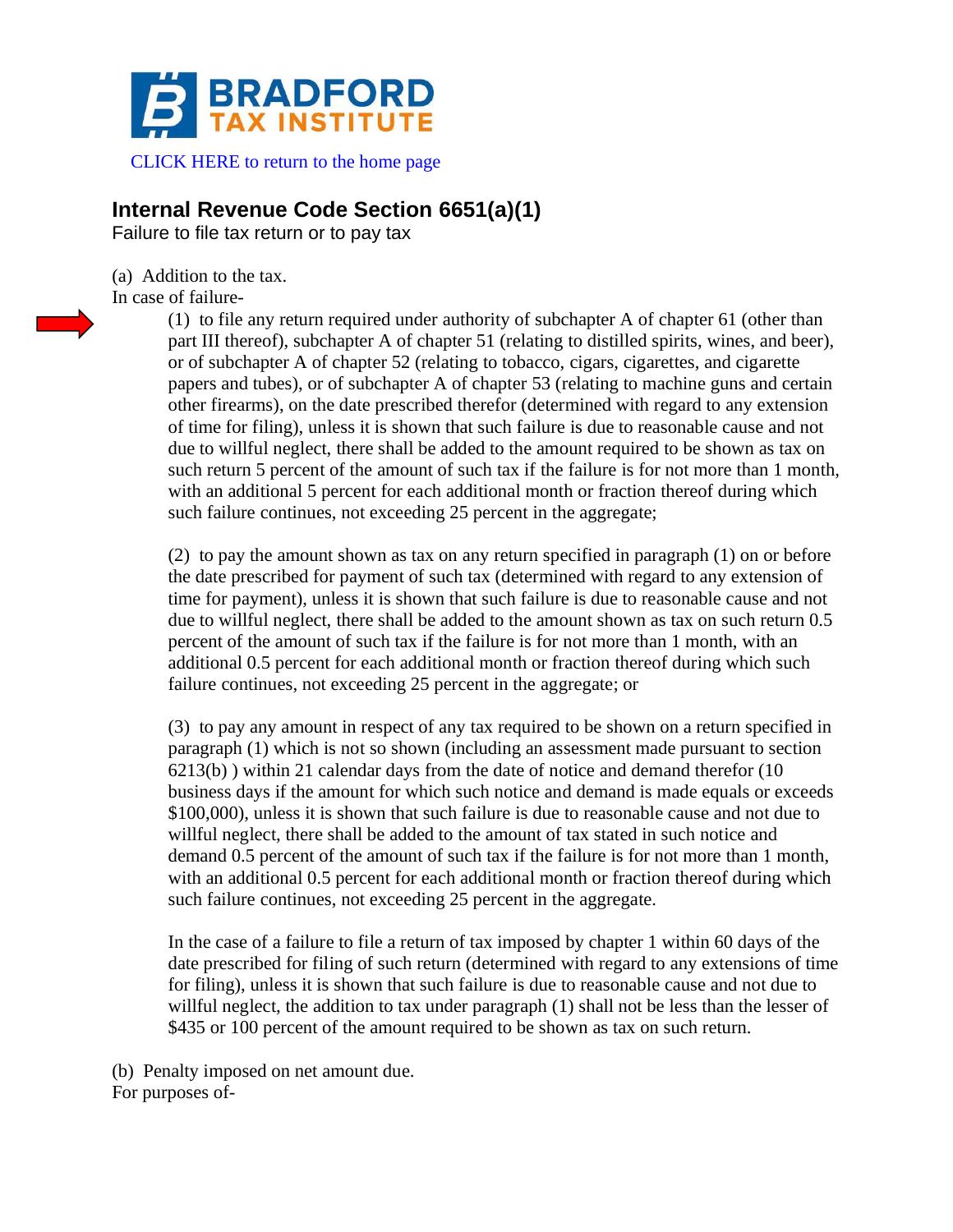

 [CLICK HERE to return to the home page](https://www.bradfordtaxinstitute.com)

## **Internal Revenue Code Section 6651(a)(1)**

Failure to file tax return or to pay tax

(a) Addition to the tax. In case of failure-



(1) to file any return required under authority of subchapter A of chapter 61 (other than part III thereof), subchapter A of chapter 51 (relating to distilled spirits, wines, and beer), or of subchapter A of chapter 52 (relating to tobacco, cigars, cigarettes, and cigarette papers and tubes), or of subchapter A of chapter 53 (relating to machine guns and certain other firearms), on the date prescribed therefor (determined with regard to any extension of time for filing), unless it is shown that such failure is due to reasonable cause and not due to willful neglect, there shall be added to the amount required to be shown as tax on such return 5 percent of the amount of such tax if the failure is for not more than 1 month, with an additional 5 percent for each additional month or fraction thereof during which such failure continues, not exceeding 25 percent in the aggregate;

(2) to pay the amount shown as tax on any return specified in paragraph (1) on or before the date prescribed for payment of such tax (determined with regard to any extension of time for payment), unless it is shown that such failure is due to reasonable cause and not due to willful neglect, there shall be added to the amount shown as tax on such return 0.5 percent of the amount of such tax if the failure is for not more than 1 month, with an additional 0.5 percent for each additional month or fraction thereof during which such failure continues, not exceeding 25 percent in the aggregate; or

(3) to pay any amount in respect of any tax required to be shown on a return specified in paragraph (1) which is not so shown (including an assessment made pursuant to section 6213(b) ) within 21 calendar days from the date of notice and demand therefor (10 business days if the amount for which such notice and demand is made equals or exceeds \$100,000), unless it is shown that such failure is due to reasonable cause and not due to willful neglect, there shall be added to the amount of tax stated in such notice and demand 0.5 percent of the amount of such tax if the failure is for not more than 1 month, with an additional 0.5 percent for each additional month or fraction thereof during which such failure continues, not exceeding 25 percent in the aggregate.

In the case of a failure to file a return of tax imposed by chapter 1 within 60 days of the date prescribed for filing of such return (determined with regard to any extensions of time for filing), unless it is shown that such failure is due to reasonable cause and not due to willful neglect, the addition to tax under paragraph (1) shall not be less than the lesser of \$435 or 100 percent of the amount required to be shown as tax on such return.

(b) Penalty imposed on net amount due. For purposes of-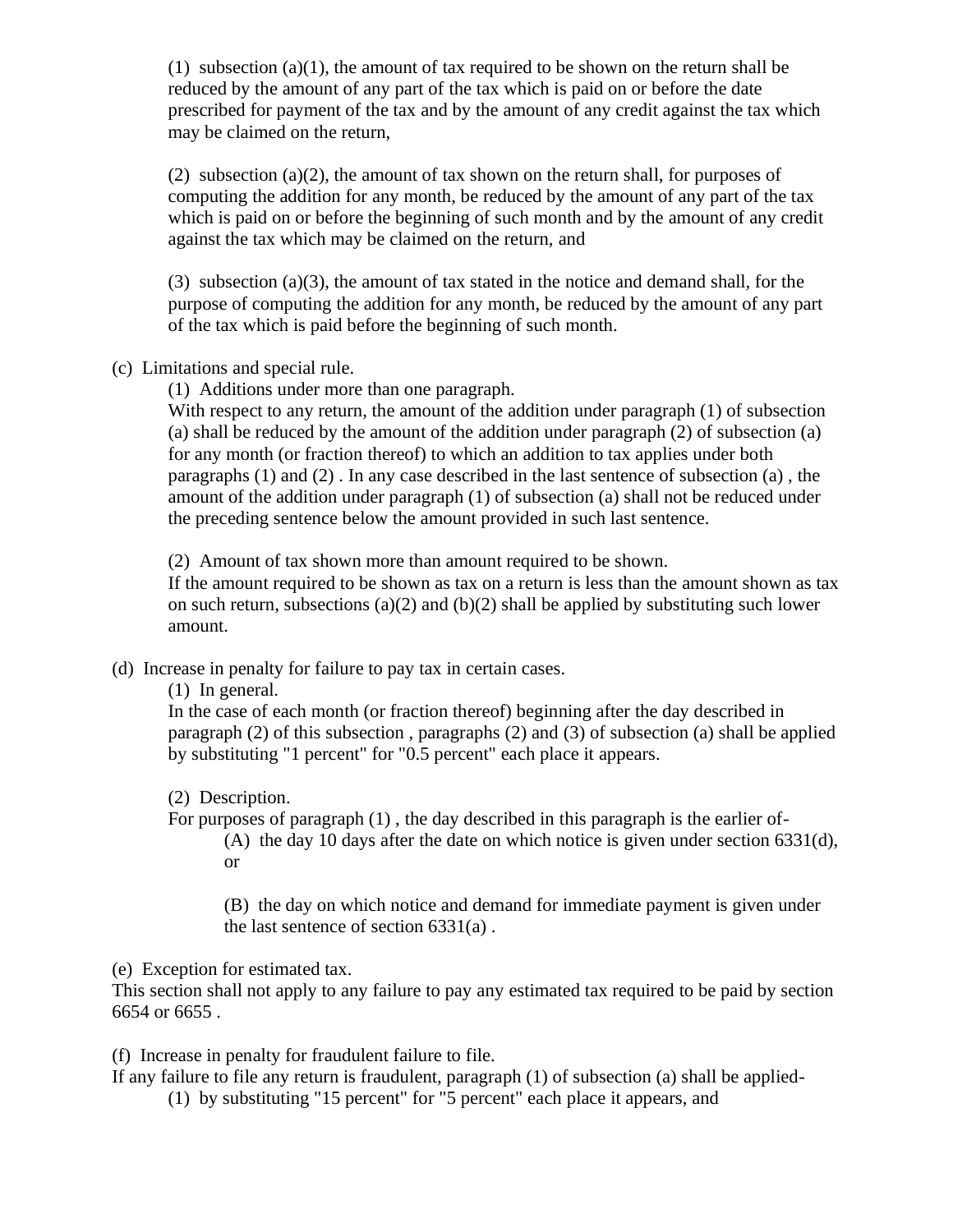(1) subsection (a)(1), the amount of tax required to be shown on the return shall be reduced by the amount of any part of the tax which is paid on or before the date prescribed for payment of the tax and by the amount of any credit against the tax which may be claimed on the return,

(2) subsection (a)(2), the amount of tax shown on the return shall, for purposes of computing the addition for any month, be reduced by the amount of any part of the tax which is paid on or before the beginning of such month and by the amount of any credit against the tax which may be claimed on the return, and

(3) subsection (a)(3), the amount of tax stated in the notice and demand shall, for the purpose of computing the addition for any month, be reduced by the amount of any part of the tax which is paid before the beginning of such month.

(c) Limitations and special rule.

(1) Additions under more than one paragraph.

With respect to any return, the amount of the addition under paragraph (1) of subsection (a) shall be reduced by the amount of the addition under paragraph (2) of subsection (a) for any month (or fraction thereof) to which an addition to tax applies under both paragraphs  $(1)$  and  $(2)$ . In any case described in the last sentence of subsection  $(a)$ , the amount of the addition under paragraph (1) of subsection (a) shall not be reduced under the preceding sentence below the amount provided in such last sentence.

(2) Amount of tax shown more than amount required to be shown.

If the amount required to be shown as tax on a return is less than the amount shown as tax on such return, subsections (a)(2) and (b)(2) shall be applied by substituting such lower amount.

(d) Increase in penalty for failure to pay tax in certain cases.

(1) In general.

In the case of each month (or fraction thereof) beginning after the day described in paragraph (2) of this subsection , paragraphs (2) and (3) of subsection (a) shall be applied by substituting "1 percent" for "0.5 percent" each place it appears.

(2) Description.

For purposes of paragraph (1) , the day described in this paragraph is the earlier of- (A) the day 10 days after the date on which notice is given under section 6331(d), or

(B) the day on which notice and demand for immediate payment is given under the last sentence of section 6331(a) .

(e) Exception for estimated tax.

This section shall not apply to any failure to pay any estimated tax required to be paid by section 6654 or 6655 .

(f) Increase in penalty for fraudulent failure to file.

If any failure to file any return is fraudulent, paragraph (1) of subsection (a) shall be applied-

(1) by substituting "15 percent" for "5 percent" each place it appears, and